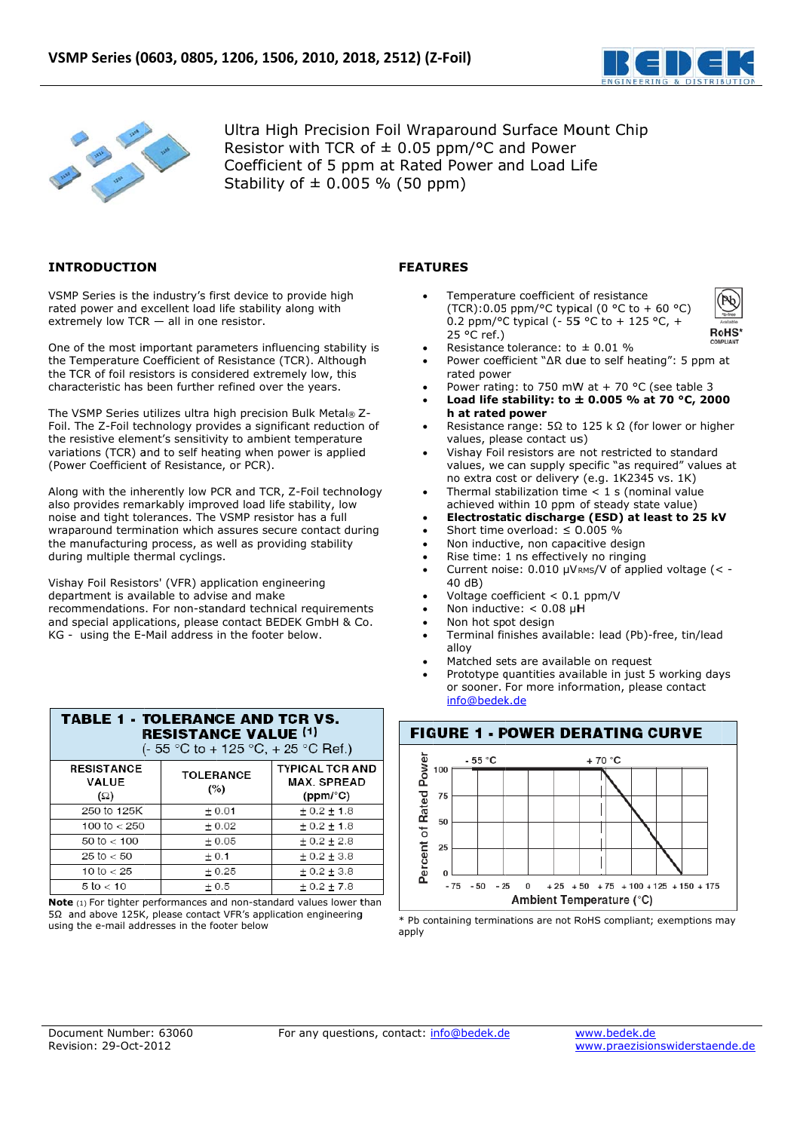

**RoHS** 



Ultra High Precision Foil Wraparound Surface Mount Chip Resistor with TCR of  $\pm$  0.05 ppm/°C and Power Coefficient of 5 ppm at Rated Power and Load Life Stability of  $\pm$  0.005 % (50 ppm)

# **INTRODUCTION**

VSMP Series is the industry's first device to provide high rated power and excellent load life stability along with extremely low  $TCR - all$  in one resistor.

One of the most important parameters influencing stability is the Temperature Coefficient of Resistance (TCR). Although the TCR of foil resistors is considered extremely low, this characteristic has been further refined over the years.

The VSMP Series utilizes ultra high precision Bulk Metal® Z-Foil. The Z-Foil technology provides a significant reduction of the resistive element's sensitivity to ambient temperature variations (TCR) and to self heating when power is applied (Power Coefficient of Resistance, or PCR).

Along with the inherently low PCR and TCR, Z-Foil technology also provides remarkably improved load life stability, low noise and tight tolerances. The VSMP resistor has a full wraparound termination which assures secure contact during the manufacturing process, as well as providing stability during multiple thermal cyclings.

Vishay Foil Resistors' (VFR) application engineering department is available to advise and make recommendations. For non-standard technical requirements and special applications, please contact BEDEK GmbH & Co. KG - using the E-Mail address in the footer below.

**TABLE 1 - TOLERANCE AND TCR VS.** 

| <b>RESISTANCE VALUE (1)</b><br>(- 55 °C to + 125 °C, + 25 °C Ref.) |                         |                                                          |  |  |
|--------------------------------------------------------------------|-------------------------|----------------------------------------------------------|--|--|
| <b>RESISTANCE</b><br>VALUE<br>(Ω)                                  | <b>TOLERANCE</b><br>(%) | <b>TYPICAL TCR AND</b><br><b>MAX. SPREAD</b><br>(ppm/°C) |  |  |
| 250 to 125K                                                        | ± 0.01                  | $\pm$ 0.2 $\pm$ 1.8                                      |  |  |
| 100 to $<$ 250                                                     | ± 0.02                  | ± 0.2 ± 1.8                                              |  |  |
| $50 \text{ to} < 100$                                              | ± 0.05                  | ± 0.2 ± 2.8                                              |  |  |
| $25 \text{ to } < 50$                                              | ± 0.1                   | ± 0.2 ± 3.8                                              |  |  |
| 10 to $<$ 25                                                       | $+0.25$                 | ± 0.2 ± 3.8                                              |  |  |
| $5 \text{ to } 5 10$                                               | ± 0.5                   | ± 0.2 ± 7.8                                              |  |  |

Note (1) For tighter performances and non-standard values lower than 5Ω and above 125K, please contact VFR's application engineering using the e-mail addresses in the footer below

# **FEATURES**

- Temnerature coefficient of resistance (TCR):0.05 ppm/°C typical (0 °C to + 60 °C) 0.2 ppm/°C typical (- 55 °C to + 125 °C, + 25 °C ref.)
- Resistance tolerance: to  $\pm$  0.01 %
- Power coefficient "∆R due to self heating": 5 ppm at rated power
- Power rating: to 750 mW at + 70 °C (see table 3
- Load life stability: to  $\pm$  0.005 % at 70 °C, 2000 h at rated power
- Resistance range:  $5\Omega$  to 125 k  $\Omega$  (for lower or higher values, please contact us)
- Vishay Foil resistors are not restricted to standard values, we can supply specific "as required" values at no extra cost or delivery (e.g. 1K2345 vs. 1K)
- Thermal stabilization time  $<$  1 s (nominal value achieved within 10 ppm of steady state value)
- Electrostatic discharge (ESD) at least to 25 kV
- Short time overload:  $\leq$  0.005 %
- Non inductive, non capacitive design
- Rise time: 1 ns effectively no ringing
- Current noise: 0.010 µVRMS/V of applied voltage (< -40 dB)
- Voltage coefficient <  $0.1$  ppm/V
- Non inductive:  $< 0.08$  µH
- Non hot spot design
- Terminal finishes available: lead (Pb)-free, tin/lead alloy
- Matched sets are available on request
- Prototype quantities available in just 5 working days or sooner. For more information, please contact info@bedek.de



\* Pb containing terminations are not RoHS compliant; exemptions may apply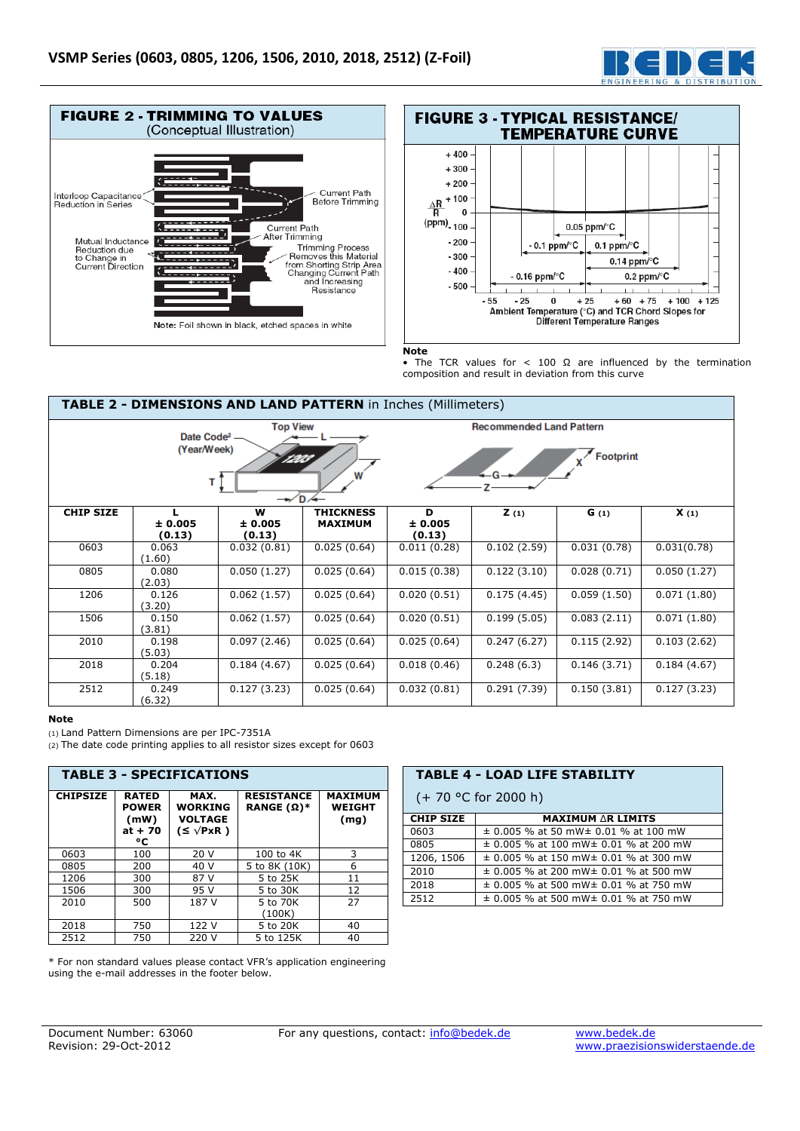



#### **Note**

• The TCR values for  $< 100 \Omega$  are influenced by the termination composition and result in deviation from this curve

| TABLE 2 - DIMENSIONS AND LAND PATTERN in Inches (Millimeters)                                          |                   |                   |                  |                   |                                 |             |             |
|--------------------------------------------------------------------------------------------------------|-------------------|-------------------|------------------|-------------------|---------------------------------|-------------|-------------|
|                                                                                                        |                   | <b>Top View</b>   |                  |                   | <b>Recommended Land Pattern</b> |             |             |
| Date Code <sup>2</sup> -<br>(Year/Week)<br><b>Footprint</b><br>W<br>т<br>$\rightarrow$ D $\rightarrow$ |                   |                   |                  |                   |                                 |             |             |
| <b>CHIP SIZE</b>                                                                                       |                   | W                 | <b>THICKNESS</b> | D                 | $\mathsf{Z}(1)$                 | G(1)        | X(1)        |
|                                                                                                        | ± 0.005<br>(0.13) | ± 0.005<br>(0.13) | <b>MAXIMUM</b>   | ± 0.005<br>(0.13) |                                 |             |             |
| 0603                                                                                                   | 0.063<br>(1.60)   | 0.032(0.81)       | 0.025(0.64)      | 0.011(0.28)       | 0.102(2.59)                     | 0.031(0.78) | 0.031(0.78) |
| 0805                                                                                                   | 0.080<br>(2.03)   | 0.050(1.27)       | 0.025(0.64)      | 0.015(0.38)       | 0.122(3.10)                     | 0.028(0.71) | 0.050(1.27) |
| 1206                                                                                                   | 0.126<br>(3.20)   | 0.062(1.57)       | 0.025(0.64)      | 0.020(0.51)       | 0.175(4.45)                     | 0.059(1.50) | 0.071(1.80) |
| 1506                                                                                                   | 0.150<br>(3.81)   | 0.062(1.57)       | 0.025(0.64)      | 0.020(0.51)       | 0.199(5.05)                     | 0.083(2.11) | 0.071(1.80) |
| 2010                                                                                                   | 0.198<br>(5.03)   | 0.097(2.46)       | 0.025(0.64)      | 0.025(0.64)       | 0.247(6.27)                     | 0.115(2.92) | 0.103(2.62) |
| 2018                                                                                                   | 0.204<br>(5.18)   | 0.184(4.67)       | 0.025(0.64)      | 0.018(0.46)       | 0.248(6.3)                      | 0.146(3.71) | 0.184(4.67) |
| 2512                                                                                                   | 0.249<br>(6.32)   | 0.127(3.23)       | 0.025(0.64)      | 0.032(0.81)       | 0.291(7.39)                     | 0.150(3.81) | 0.127(3.23) |

#### **Note**

(1) Land Pattern Dimensions are per IPC-7351A

(2) The date code printing applies to all resistor sizes except for 0603

| <b>TABLE 3 - SPECIFICATIONS</b> |                                                         |                                                                   |                                                |                                         |
|---------------------------------|---------------------------------------------------------|-------------------------------------------------------------------|------------------------------------------------|-----------------------------------------|
| <b>CHIPSIZE</b>                 | <b>RATED</b><br><b>POWER</b><br>(mW)<br>$at + 70$<br>۰c | MAX.<br><b>WORKING</b><br><b>VOLTAGE</b><br>$(S \vee P \times R)$ | <b>RESISTANCE</b><br><b>RANGE</b> $(\Omega)^*$ | <b>MAXIMUM</b><br><b>WEIGHT</b><br>(mg) |
| 0603                            | 100                                                     | 20V                                                               | 100 to 4K                                      | 3                                       |
| 0805                            | 200                                                     | 40 V                                                              | 5 to 8K (10K)                                  | 6                                       |
| 1206                            | 300                                                     | 87 V                                                              | 5 to 25K                                       | 11                                      |
| 1506                            | 300                                                     | 95 V                                                              | 5 to 30K                                       | 12                                      |
| 2010                            | 500                                                     | 187 V                                                             | 5 to 70K<br>(100K)                             | 27                                      |
| 2018                            | 750                                                     | 122 V                                                             | 5 to 20K                                       | 40                                      |
| 2512                            | 750                                                     | 220 V                                                             | 5 to 125K                                      | 40                                      |

\* For non standard values please contact VFR's application engineering using the e-mail addresses in the footer below.

| <b>TABLE 4 - LOAD LIFE STABILITY</b> |                                                |  |  |
|--------------------------------------|------------------------------------------------|--|--|
| $(+ 70 °C)$ for 2000 h)              |                                                |  |  |
| <b>CHIP SIZE</b>                     | <b>MAXIMUM AR LIMITS</b>                       |  |  |
| 0603                                 | $\pm$ 0.005 % at 50 mW $\pm$ 0.01 % at 100 mW  |  |  |
| 0805                                 | $\pm$ 0.005 % at 100 mW $\pm$ 0.01 % at 200 mW |  |  |
| 1206, 1506                           | $\pm$ 0.005 % at 150 mW $\pm$ 0.01 % at 300 mW |  |  |
| 2010                                 | $\pm$ 0.005 % at 200 mW $\pm$ 0.01 % at 500 mW |  |  |
| 2018                                 | $\pm$ 0.005 % at 500 mW $\pm$ 0.01 % at 750 mW |  |  |
| 2512                                 | $\pm$ 0.005 % at 500 mW $\pm$ 0.01 % at 750 mW |  |  |
|                                      |                                                |  |  |

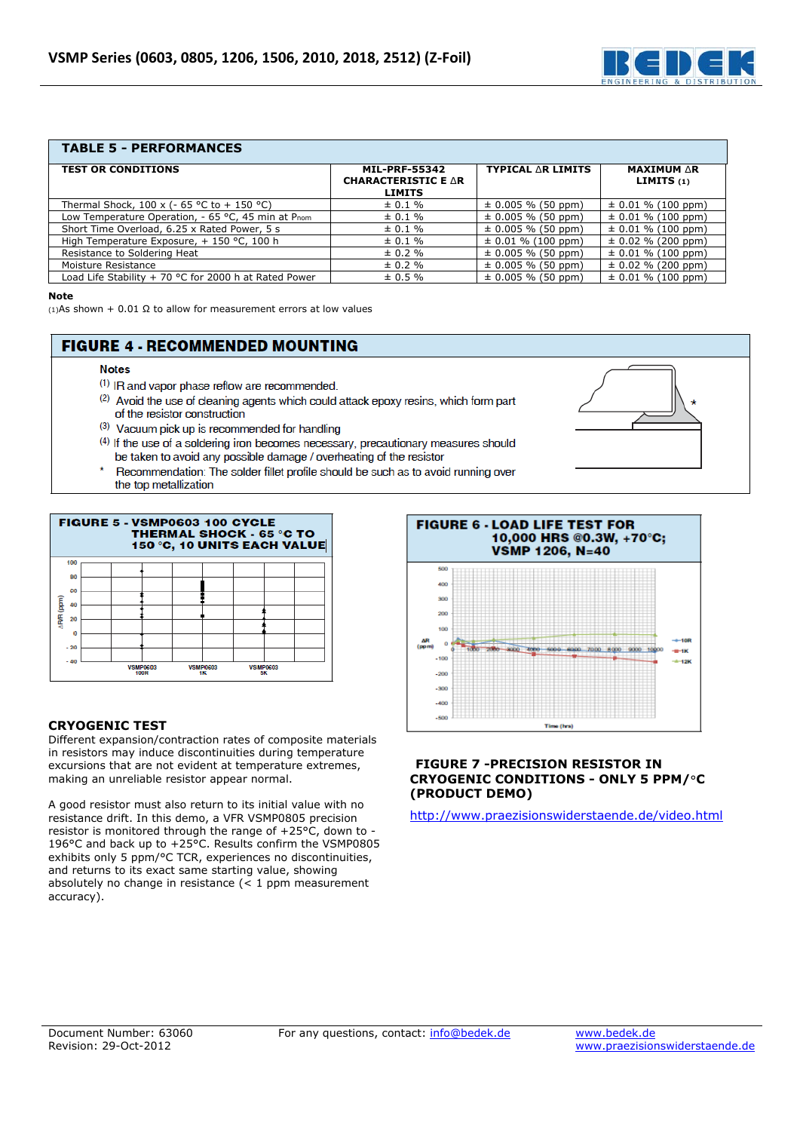

### **TABLE 5 - PERFORMANCES**

| <b>TEST OR CONDITIONS</b>                             | <b>MIL-PRF-55342</b>                        | <b>TYPICAL AR LIMITS</b> | <b>MAXIMUM AR</b>      |
|-------------------------------------------------------|---------------------------------------------|--------------------------|------------------------|
|                                                       | <b>CHARACTERISTIC E AR</b><br><b>LIMITS</b> |                          | <b>LIMITS</b> $(1)$    |
| Thermal Shock, 100 x (- 65 °C to + 150 °C)            | $\pm 0.1 \%$                                | $\pm$ 0.005 % (50 ppm)   | $\pm$ 0.01 % (100 ppm) |
| Low Temperature Operation, - 65 °C, 45 min at Pnom    | $\pm 0.1 \%$                                | $\pm$ 0.005 % (50 ppm)   | $\pm$ 0.01 % (100 ppm) |
| Short Time Overload, 6.25 x Rated Power, 5 s          | $\pm 0.1 \%$                                | $\pm$ 0.005 % (50 ppm)   | $\pm$ 0.01 % (100 ppm) |
| High Temperature Exposure, + 150 °C, 100 h            | $\pm 0.1 \%$                                | $\pm$ 0.01 % (100 ppm)   | $\pm$ 0.02 % (200 ppm) |
| Resistance to Soldering Heat                          | $\pm 0.2 \%$                                | $\pm$ 0.005 % (50 ppm)   | $\pm$ 0.01 % (100 ppm) |
| Moisture Resistance                                   | $\pm 0.2 \%$                                | $\pm$ 0.005 % (50 ppm)   | $\pm$ 0.02 % (200 ppm) |
| Load Life Stability + 70 °C for 2000 h at Rated Power | $\pm 0.5 \%$                                | $\pm$ 0.005 % (50 ppm)   | $\pm$ 0.01 % (100 ppm) |

#### **Note**

(1)As shown + 0.01  $\Omega$  to allow for measurement errors at low values

# **FIGURE 4 - RECOMMENDED MOUNTING**

### **Notes**

- (1) IR and vapor phase reflow are recommended.
- (2) Avoid the use of cleaning agents which could attack epoxy resins, which form part of the resistor construction
- (3) Vacuum pick up is recommended for handling
- (4) If the use of a soldering iron becomes necessary, precautionary measures should be taken to avoid any possible damage / overheating of the resistor
- Recommendation: The solder fillet profile should be such as to avoid running over the top metallization



## **CRYOGENIC TEST**

Different expansion/contraction rates of composite materials in resistors may induce discontinuities during temperature excursions that are not evident at temperature extremes, making an unreliable resistor appear normal.

A good resistor must also return to its initial value with no resistance drift. In this demo, a VFR VSMP0805 precision resistor is monitored through the range of +25°C, down to - 196°C and back up to +25°C. Results confirm the VSMP0805 exhibits only 5 ppm/°C TCR, experiences no discontinuities, and returns to its exact same starting value, showing absolutely no change in resistance  $(< 1$  ppm measurement accuracy).



### **FIGURE 7 -PRECISION RESISTOR IN CRYOGENIC CONDITIONS - ONLY 5 PPM/**°**C (PRODUCT DEMO)**

http://www.praezisionswiderstaende.de/video.html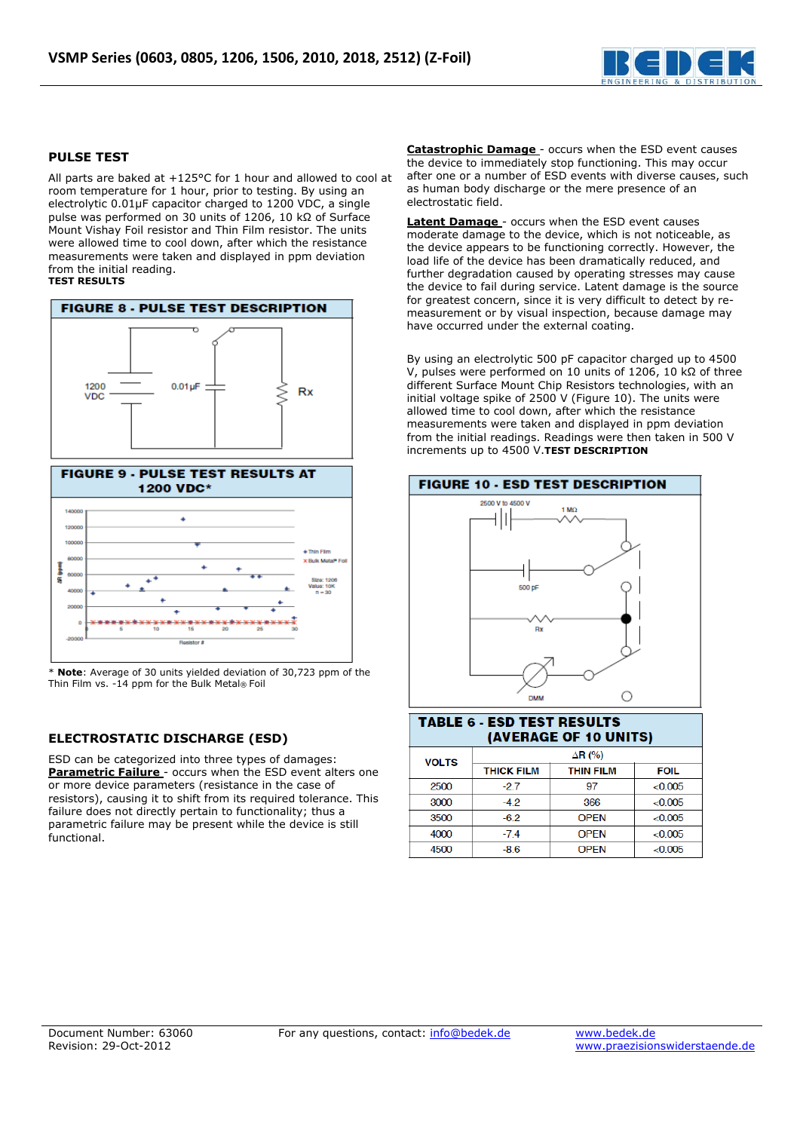

### **PULSE TEST**

All parts are baked at +125°C for 1 hour and allowed to cool at room temperature for 1 hour, prior to testing. By using an electrolytic 0.01μF capacitor charged to 1200 VDC, a single pulse was performed on 30 units of 1206, 10 kΩ of Surface Mount Vishay Foil resistor and Thin Film resistor. The units were allowed time to cool down, after which the resistance measurements were taken and displayed in ppm deviation from the initial reading. **TEST RESULTS** 





**Note:** Average of 30 units yielded deviation of 30,723 ppm of the Thin Film vs. -14 ppm for the Bulk Metal® Foil

## **ELECTROSTATIC DISCHARGE (ESD)**

ESD can be categorized into three types of damages: **Parametric Failure** - occurs when the ESD event alters one or more device parameters (resistance in the case of resistors), causing it to shift from its required tolerance. This failure does not directly pertain to functionality; thus a parametric failure may be present while the device is still functional.

**Catastrophic Damage** - occurs when the ESD event causes the device to immediately stop functioning. This may occur after one or a number of ESD events with diverse causes, such as human body discharge or the mere presence of an electrostatic field.

**Latent Damage** - occurs when the ESD event causes moderate damage to the device, which is not noticeable, as the device appears to be functioning correctly. However, the load life of the device has been dramatically reduced, and further degradation caused by operating stresses may cause the device to fail during service. Latent damage is the source for greatest concern, since it is very difficult to detect by remeasurement or by visual inspection, because damage may have occurred under the external coating.

By using an electrolytic 500 pF capacitor charged up to 4500 V, pulses were performed on 10 units of 1206, 10 kΩ of three different Surface Mount Chip Resistors technologies, with an initial voltage spike of 2500 V (Figure 10). The units were allowed time to cool down, after which the resistance measurements were taken and displayed in ppm deviation from the initial readings. Readings were then taken in 500 V increments up to 4500 V.**TEST DESCRIPTION**



### **TABLE 6 - ESD TEST RESULTS** (AVERAGE OF 10 UNITS)

| <b>VOLTS</b> | $\Delta$ R (%)    |                  |             |  |  |
|--------------|-------------------|------------------|-------------|--|--|
|              | <b>THICK FILM</b> | <b>THIN FILM</b> | <b>FOIL</b> |  |  |
| 2500         | $-27$             | 97               | < 0.005     |  |  |
| 3000         | $-4.2$            | 366              | &0.005      |  |  |
| 3500         | $-6.2$            | <b>OPEN</b>      | < 0.005     |  |  |
| 4000         | $-7.4$            | <b>OPEN</b>      | < 0.005     |  |  |
| 4500         | $-8.6$            | <b>OPEN</b>      | <0.005      |  |  |